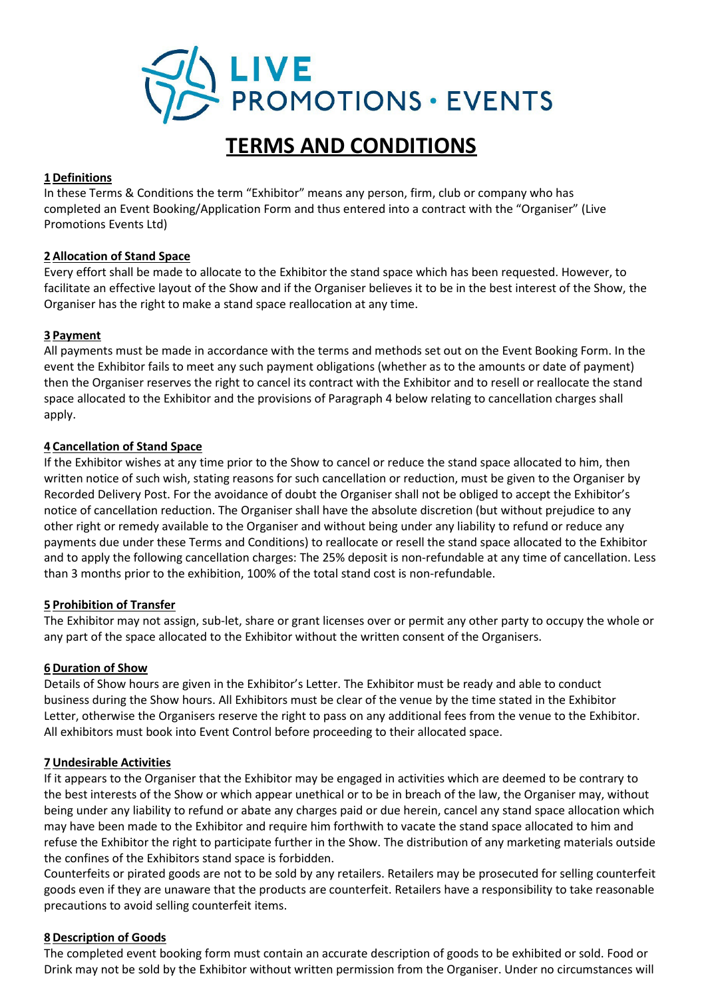

# **TERMS AND CONDITIONS**

# **1 Definitions**

In these Terms & Conditions the term "Exhibitor" means any person, firm, club or company who has completed an Event Booking/Application Form and thus entered into a contract with the "Organiser" (Live Promotions Events Ltd)

# **2 Allocation of Stand Space**

Every effort shall be made to allocate to the Exhibitor the stand space which has been requested. However, to facilitate an effective layout of the Show and if the Organiser believes it to be in the best interest of the Show, the Organiser has the right to make a stand space reallocation at any time.

# **3 Payment**

All payments must be made in accordance with the terms and methods set out on the Event Booking Form. In the event the Exhibitor fails to meet any such payment obligations (whether as to the amounts or date of payment) then the Organiser reserves the right to cancel its contract with the Exhibitor and to resell or reallocate the stand space allocated to the Exhibitor and the provisions of Paragraph 4 below relating to cancellation charges shall apply.

# **4 Cancellation of Stand Space**

If the Exhibitor wishes at any time prior to the Show to cancel or reduce the stand space allocated to him, then written notice of such wish, stating reasons for such cancellation or reduction, must be given to the Organiser by Recorded Delivery Post. For the avoidance of doubt the Organiser shall not be obliged to accept the Exhibitor's notice of cancellation reduction. The Organiser shall have the absolute discretion (but without prejudice to any other right or remedy available to the Organiser and without being under any liability to refund or reduce any payments due under these Terms and Conditions) to reallocate or resell the stand space allocated to the Exhibitor and to apply the following cancellation charges: The 25% deposit is non-refundable at any time of cancellation. Less than 3 months prior to the exhibition, 100% of the total stand cost is non-refundable.

## **5 Prohibition of Transfer**

The Exhibitor may not assign, sub-let, share or grant licenses over or permit any other party to occupy the whole or any part of the space allocated to the Exhibitor without the written consent of the Organisers.

## **6 Duration of Show**

Details of Show hours are given in the Exhibitor's Letter. The Exhibitor must be ready and able to conduct business during the Show hours. All Exhibitors must be clear of the venue by the time stated in the Exhibitor Letter, otherwise the Organisers reserve the right to pass on any additional fees from the venue to the Exhibitor. All exhibitors must book into Event Control before proceeding to their allocated space.

## **7 Undesirable Activities**

If it appears to the Organiser that the Exhibitor may be engaged in activities which are deemed to be contrary to the best interests of the Show or which appear unethical or to be in breach of the law, the Organiser may, without being under any liability to refund or abate any charges paid or due herein, cancel any stand space allocation which may have been made to the Exhibitor and require him forthwith to vacate the stand space allocated to him and refuse the Exhibitor the right to participate further in the Show. The distribution of any marketing materials outside the confines of the Exhibitors stand space is forbidden.

Counterfeits or pirated goods are not to be sold by any retailers. Retailers may be prosecuted for selling counterfeit goods even if they are unaware that the products are counterfeit. Retailers have a responsibility to take reasonable precautions to avoid selling counterfeit items.

## **8 Description of Goods**

The completed event booking form must contain an accurate description of goods to be exhibited or sold. Food or Drink may not be sold by the Exhibitor without written permission from the Organiser. Under no circumstances will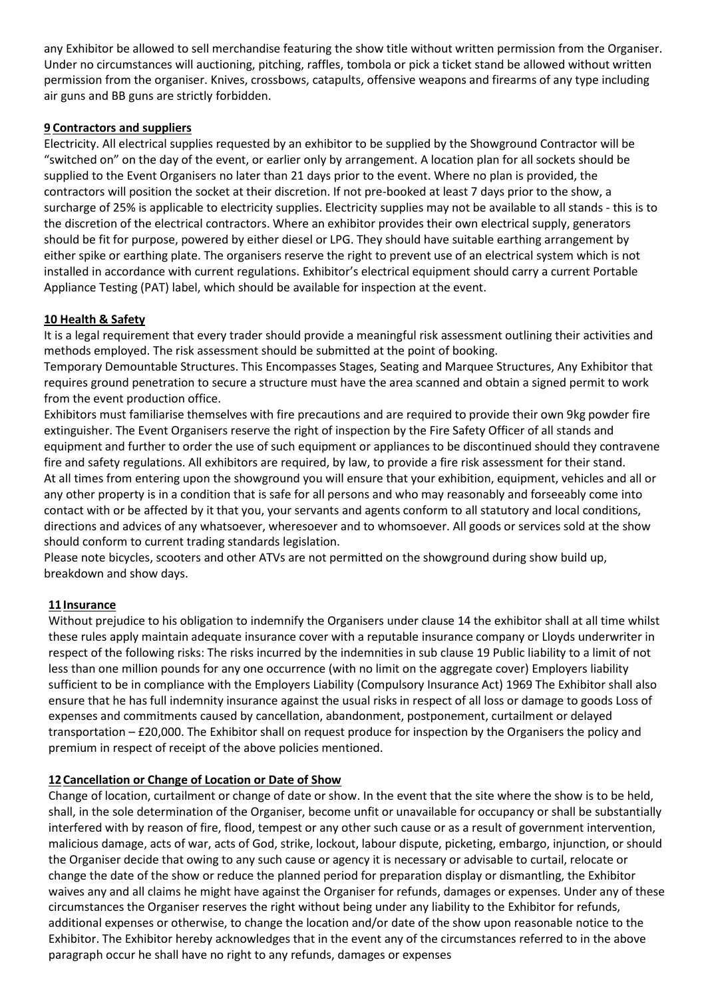any Exhibitor be allowed to sell merchandise featuring the show title without written permission from the Organiser. Under no circumstances will auctioning, pitching, raffles, tombola or pick a ticket stand be allowed without written permission from the organiser. Knives, crossbows, catapults, offensive weapons and firearms of any type including air guns and BB guns are strictly forbidden.

# **9 Contractors and suppliers**

Electricity. All electrical supplies requested by an exhibitor to be supplied by the Showground Contractor will be "switched on" on the day of the event, or earlier only by arrangement. A location plan for all sockets should be supplied to the Event Organisers no later than 21 days prior to the event. Where no plan is provided, the contractors will position the socket at their discretion. If not pre-booked at least 7 days prior to the show, a surcharge of 25% is applicable to electricity supplies. Electricity supplies may not be available to all stands - this is to the discretion of the electrical contractors. Where an exhibitor provides their own electrical supply, generators should be fit for purpose, powered by either diesel or LPG. They should have suitable earthing arrangement by either spike or earthing plate. The organisers reserve the right to prevent use of an electrical system which is not installed in accordance with current regulations. Exhibitor's electrical equipment should carry a current Portable Appliance Testing (PAT) label, which should be available for inspection at the event.

# **10 Health & Safety**

It is a legal requirement that every trader should provide a meaningful risk assessment outlining their activities and methods employed. The risk assessment should be submitted at the point of booking.

Temporary Demountable Structures. This Encompasses Stages, Seating and Marquee Structures, Any Exhibitor that requires ground penetration to secure a structure must have the area scanned and obtain a signed permit to work from the event production office.

Exhibitors must familiarise themselves with fire precautions and are required to provide their own 9kg powder fire extinguisher. The Event Organisers reserve the right of inspection by the Fire Safety Officer of all stands and equipment and further to order the use of such equipment or appliances to be discontinued should they contravene fire and safety regulations. All exhibitors are required, by law, to provide a fire risk assessment for their stand. At all times from entering upon the showground you will ensure that your exhibition, equipment, vehicles and all or any other property is in a condition that is safe for all persons and who may reasonably and forseeably come into contact with or be affected by it that you, your servants and agents conform to all statutory and local conditions, directions and advices of any whatsoever, wheresoever and to whomsoever. All goods or services sold at the show should conform to current trading standards legislation.

Please note bicycles, scooters and other ATVs are not permitted on the showground during show build up, breakdown and show days.

## **11Insurance**

Without prejudice to his obligation to indemnify the Organisers under clause 14 the exhibitor shall at all time whilst these rules apply maintain adequate insurance cover with a reputable insurance company or Lloyds underwriter in respect of the following risks: The risks incurred by the indemnities in sub clause 19 Public liability to a limit of not less than one million pounds for any one occurrence (with no limit on the aggregate cover) Employers liability sufficient to be in compliance with the Employers Liability (Compulsory Insurance Act) 1969 The Exhibitor shall also ensure that he has full indemnity insurance against the usual risks in respect of all loss or damage to goods Loss of expenses and commitments caused by cancellation, abandonment, postponement, curtailment or delayed transportation – £20,000. The Exhibitor shall on request produce for inspection by the Organisers the policy and premium in respect of receipt of the above policies mentioned.

## **12Cancellation or Change of Location or Date of Show**

Change of location, curtailment or change of date or show. In the event that the site where the show is to be held, shall, in the sole determination of the Organiser, become unfit or unavailable for occupancy or shall be substantially interfered with by reason of fire, flood, tempest or any other such cause or as a result of government intervention, malicious damage, acts of war, acts of God, strike, lockout, labour dispute, picketing, embargo, injunction, or should the Organiser decide that owing to any such cause or agency it is necessary or advisable to curtail, relocate or change the date of the show or reduce the planned period for preparation display or dismantling, the Exhibitor waives any and all claims he might have against the Organiser for refunds, damages or expenses. Under any of these circumstances the Organiser reserves the right without being under any liability to the Exhibitor for refunds, additional expenses or otherwise, to change the location and/or date of the show upon reasonable notice to the Exhibitor. The Exhibitor hereby acknowledges that in the event any of the circumstances referred to in the above paragraph occur he shall have no right to any refunds, damages or expenses